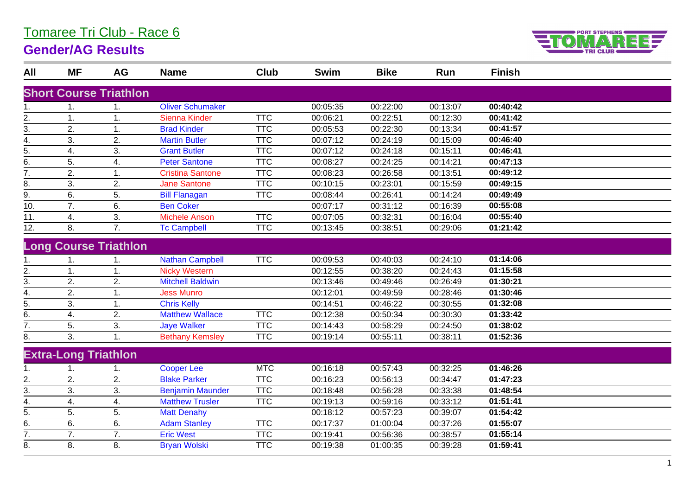## Tomaree Tri Club - Race 6

## **Gender/AG Results**



| All              | <b>MF</b>                   | AG                            | <b>Name</b>             | <b>Club</b> | <b>Swim</b> | <b>Bike</b> | Run      | <b>Finish</b> |  |
|------------------|-----------------------------|-------------------------------|-------------------------|-------------|-------------|-------------|----------|---------------|--|
|                  |                             | <b>Short Course Triathlon</b> |                         |             |             |             |          |               |  |
| 1.               |                             | 1.                            | <b>Oliver Schumaker</b> |             | 00:05:35    | 00:22:00    | 00:13:07 | 00:40:42      |  |
| 2.               | 1.                          | 1.                            | <b>Sienna Kinder</b>    | <b>TTC</b>  | 00:06:21    | 00:22:51    | 00:12:30 | 00:41:42      |  |
| 3.               | 2.                          | 1.                            | <b>Brad Kinder</b>      | <b>TTC</b>  | 00:05:53    | 00:22:30    | 00:13:34 | 00:41:57      |  |
| 4.               | 3.                          | 2.                            | <b>Martin Butler</b>    | <b>TTC</b>  | 00:07:12    | 00:24:19    | 00:15:09 | 00:46:40      |  |
| 5.               | 4.                          | 3.                            | <b>Grant Butler</b>     | <b>TTC</b>  | 00:07:12    | 00:24:18    | 00:15:11 | 00:46:41      |  |
| 6.               | 5.                          | 4.                            | <b>Peter Santone</b>    | <b>TTC</b>  | 00:08:27    | 00:24:25    | 00:14:21 | 00:47:13      |  |
| $\overline{7}$ . | 2.                          | 1.                            | <b>Cristina Santone</b> | <b>TTC</b>  | 00:08:23    | 00:26:58    | 00:13:51 | 00:49:12      |  |
| 8.               | 3.                          | 2.                            | <b>Jane Santone</b>     | <b>TTC</b>  | 00:10:15    | 00:23:01    | 00:15:59 | 00:49:15      |  |
| 9.               | 6.                          | 5.                            | <b>Bill Flanagan</b>    | <b>TTC</b>  | 00:08:44    | 00:26:41    | 00:14:24 | 00:49:49      |  |
| 10.              | 7.                          | 6.                            | <b>Ben Coker</b>        |             | 00:07:17    | 00:31:12    | 00:16:39 | 00:55:08      |  |
| 11.              | 4.                          | 3.                            | <b>Michele Anson</b>    | <b>TTC</b>  | 00:07:05    | 00:32:31    | 00:16:04 | 00:55:40      |  |
| 12.              | 8.                          | 7.                            | <b>Tc Campbell</b>      | <b>TTC</b>  | 00:13:45    | 00:38:51    | 00:29:06 | 01:21:42      |  |
|                  |                             | <b>Long Course Triathlon</b>  |                         |             |             |             |          |               |  |
| 1.               | 1.                          | 1.                            | <b>Nathan Campbell</b>  | <b>TTC</b>  | 00:09:53    | 00:40:03    | 00:24:10 | 01:14:06      |  |
| 2.               | $\overline{1}$ .            | 1.                            | <b>Nicky Western</b>    |             | 00:12:55    | 00:38:20    | 00:24:43 | 01:15:58      |  |
| 3.               | 2.                          | 2.                            | <b>Mitchell Baldwin</b> |             | 00:13:46    | 00:49:46    | 00:26:49 | 01:30:21      |  |
| 4.               | 2.                          | 1.                            | <b>Jess Munro</b>       |             | 00:12:01    | 00:49:59    | 00:28:46 | 01:30:46      |  |
| 5.               | 3.                          | 1.                            | <b>Chris Kelly</b>      |             | 00:14:51    | 00:46:22    | 00:30:55 | 01:32:08      |  |
| 6.               | 4.                          | 2.                            | <b>Matthew Wallace</b>  | <b>TTC</b>  | 00:12:38    | 00:50:34    | 00:30:30 | 01:33:42      |  |
| 7.               | 5.                          | 3.                            | <b>Jaye Walker</b>      | <b>TTC</b>  | 00:14:43    | 00:58:29    | 00:24:50 | 01:38:02      |  |
| 8.               | 3.                          | 1.                            | <b>Bethany Kemsley</b>  | <b>TTC</b>  | 00:19:14    | 00:55:11    | 00:38:11 | 01:52:36      |  |
|                  | <b>Extra-Long Triathlon</b> |                               |                         |             |             |             |          |               |  |
| 1.               |                             | 1.                            | <b>Cooper Lee</b>       | <b>MTC</b>  | 00:16:18    | 00:57:43    | 00:32:25 | 01:46:26      |  |
| 2.               | 2.                          | 2.                            | <b>Blake Parker</b>     | <b>TTC</b>  | 00:16:23    | 00:56:13    | 00:34:47 | 01:47:23      |  |
| 3.               | 3.                          | 3.                            | <b>Benjamin Maunder</b> | <b>TTC</b>  | 00:18:48    | 00:56:28    | 00:33:38 | 01:48:54      |  |
| 4.               | 4.                          | 4.                            | <b>Matthew Trusler</b>  | <b>TTC</b>  | 00:19:13    | 00:59:16    | 00:33:12 | 01:51:41      |  |
| 5.               | 5.                          | 5.                            | <b>Matt Denahy</b>      |             | 00:18:12    | 00:57:23    | 00:39:07 | 01:54:42      |  |
| 6.               | 6.                          | 6.                            | <b>Adam Stanley</b>     | <b>TTC</b>  | 00:17:37    | 01:00:04    | 00:37:26 | 01:55:07      |  |
| 7.               | 7.                          | 7.                            | <b>Eric West</b>        | <b>TTC</b>  | 00:19:41    | 00:56:36    | 00:38:57 | 01:55:14      |  |
| 8.               | 8.                          | 8.                            | <b>Bryan Wolski</b>     | <b>TTC</b>  | 00:19:38    | 01:00:35    | 00:39:28 | 01:59:41      |  |